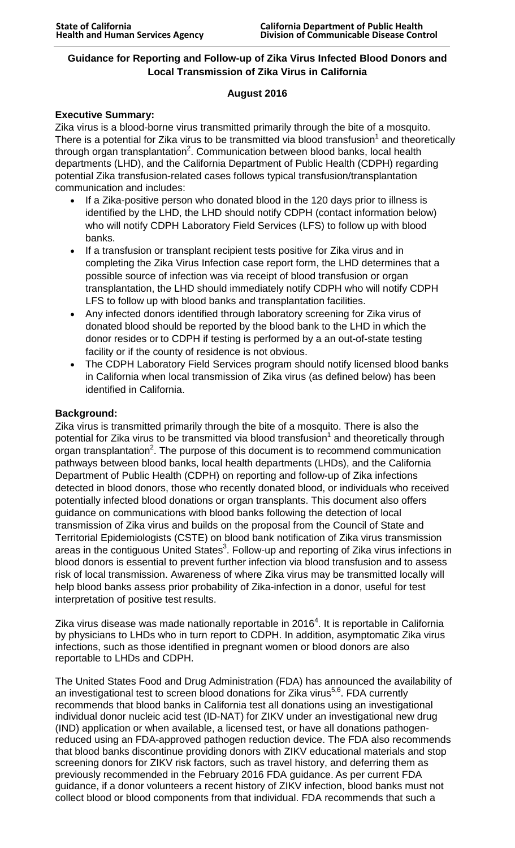## **Guidance for Reporting and Follow-up of Zika Virus Infected Blood Donors and Local Transmission of Zika Virus in California**

## **August 2016**

## **Executive Summary:**

Zika virus is a blood-borne virus transmitted primarily through the bite of a mosquito. There is a potential for Zika virus to be transmitted via blood transfusion<sup>1</sup> and theoretically through organ transplantation<sup>2</sup>. Communication between blood banks, local health departments (LHD), and the California Department of Public Health (CDPH) regarding potential Zika transfusion-related cases follows typical transfusion/transplantation communication and includes:

- If a Zika-positive person who donated blood in the 120 days prior to illness is identified by the LHD, the LHD should notify CDPH (contact information below) who will notify CDPH Laboratory Field Services (LFS) to follow up with blood banks.
- If a transfusion or transplant recipient tests positive for Zika virus and in completing the Zika Virus Infection case report form, the LHD determines that a possible source of infection was via receipt of blood transfusion or organ transplantation, the LHD should immediately notify CDPH who will notify CDPH LFS to follow up with blood banks and transplantation facilities.
- Any infected donors identified through laboratory screening for Zika virus of donated blood should be reported by the blood bank to the LHD in which the donor resides or to CDPH if testing is performed by a an out-of-state testing facility or if the county of residence is not obvious.
- The CDPH Laboratory Field Services program should notify licensed blood banks in California when local transmission of Zika virus (as defined below) has been identified in California.

## **Background:**

Zika virus is transmitted primarily through the bite of a mosquito. There is also the potential for Zika virus to be transmitted via blood transfusion<sup>1</sup> and theoretically through organ transplantation<sup>2</sup>. The purpose of this document is to recommend communication pathways between blood banks, local health departments (LHDs), and the California Department of Public Health (CDPH) on reporting and follow-up of Zika infections detected in blood donors, those who recently donated blood, or individuals who received potentially infected blood donations or organ transplants. This document also offers guidance on communications with blood banks following the detection of local transmission of Zika virus and builds on the proposal from the Council of State and Territorial Epidemiologists (CSTE) on blood bank notification of Zika virus transmission areas in the contiguous United States $^3$ . Follow-up and reporting of Zika virus infections in blood donors is essential to prevent further infection via blood transfusion and to assess risk of local transmission. Awareness of where Zika virus may be transmitted locally will help blood banks assess prior probability of Zika-infection in a donor, useful for test interpretation of positive test results.

Zika virus disease was made nationally reportable in 2016 $^4$ . It is reportable in California by physicians to LHDs who in turn report to CDPH. In addition, asymptomatic Zika virus infections, such as those identified in pregnant women or blood donors are also reportable to LHDs and CDPH.

The United States Food and Drug Administration (FDA) has announced the availability of an investigational test to screen blood donations for Zika virus<sup>5,6</sup>. FDA currently recommends that blood banks in California test all donations using an investigational individual donor nucleic acid test (ID-NAT) for ZIKV under an investigational new drug (IND) application or when available, a licensed test, or have all donations pathogenreduced using an FDA-approved pathogen reduction device. The FDA also recommends that blood banks discontinue providing donors with ZIKV educational materials and stop screening donors for ZIKV risk factors, such as travel history, and deferring them as previously recommended in the February 2016 FDA guidance. As per current FDA guidance, if a donor volunteers a recent history of ZIKV infection, blood banks must not collect blood or blood components from that individual. FDA recommends that such a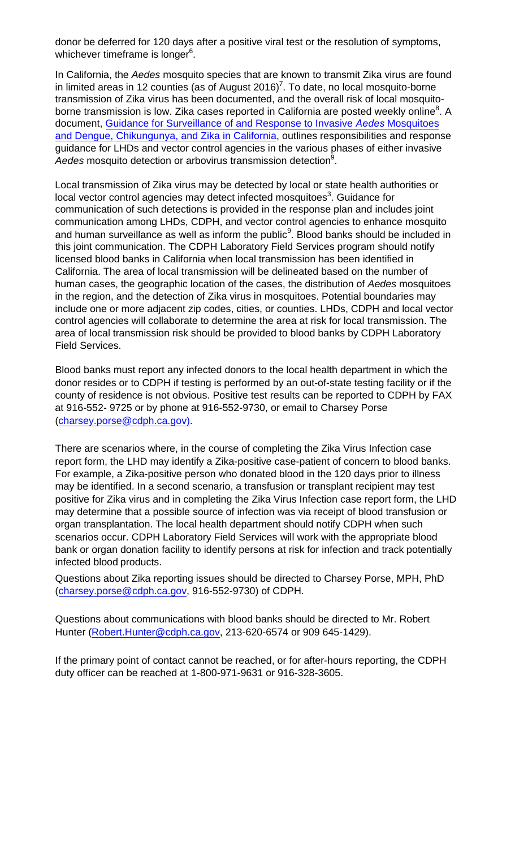donor be deferred for 120 days after a positive viral test or the resolution of symptoms, whichever timeframe is longer<sup>6</sup>.

In California, the *Aedes* mosquito species that are known to transmit Zika virus are found in limited areas in 12 counties (as of August 2016)<sup>7</sup>. To date, no local mosquito-borne transmission of Zika virus has been documented, and the overall risk of local mosquitoborne transmission is low. Zika cases reported in California are posted weekly online<sup>8</sup>. A document, Guidance [for Surveillance of and Response to Invasive](https://www.cdph.ca.gov/Programs/CID/DCDC/CDPH%20Document%20Library/InvasiveAedesSurveillanceandResponseinCA2017.pdf) *Aedes* Mosquitoes and [Dengue, Chikungunya, and Zika](https://www.cdph.ca.gov/Programs/CID/DCDC/CDPH%20Document%20Library/InvasiveAedesSurveillanceandResponseinCA2017.pdf) in California, outlines responsibilities and response guidance for LHDs and vector control agencies in the various phases of either invasive Aedes mosquito detection or arbovirus transmission detection<sup>9</sup>.

Local transmission of Zika virus may be detected by local or state health authorities or local vector control agencies may detect infected mosquitoes $^3$ . Guidance for communication of such detections is provided in the response plan and includes joint communication among LHDs, CDPH, and vector control agencies to enhance mosquito and human surveillance as well as inform the public $9$ . Blood banks should be included in this joint communication. The CDPH Laboratory Field Services program should notify licensed blood banks in California when local transmission has been identified in California. The area of local transmission will be delineated based on the number of human cases, the geographic location of the cases, the distribution of *Aedes* mosquitoes in the region, and the detection of Zika virus in mosquitoes. Potential boundaries may include one or more adjacent zip codes, cities, or counties. LHDs, CDPH and local vector control agencies will collaborate to determine the area at risk for local transmission. The area of local transmission risk should be provided to blood banks by CDPH Laboratory Field Services.

Blood banks must report any infected donors to the local health department in which the donor resides or to CDPH if testing is performed by an out-of-state testing facility or if the county of residence is not obvious. Positive test results can be reported to CDPH by FAX at 916-552- 9725 or by phone at 916-552-9730, or email to Charsey Porse (charsey.porse@cdph.ca.gov).

There are scenarios where, in the course of completing the Zika Virus Infection case report form, the LHD may identify a Zika-positive case-patient of concern to blood banks. For example, a Zika-positive person who donated blood in the 120 days prior to illness may be identified. In a second scenario, a transfusion or transplant recipient may test positive for Zika virus and in completing the Zika Virus Infection case report form, the LHD may determine that a possible source of infection was via receipt of blood transfusion or organ transplantation. The local health department should notify CDPH when such scenarios occur. CDPH Laboratory Field Services will work with the appropriate blood bank or organ donation facility to identify persons at risk for infection and track potentially infected blood products.

Questions about Zika reporting issues should be directed to Charsey Porse, MPH, PhD [\(charsey.porse@cdph.ca.gov,](mailto:(charsey.porse@cdph.ca.gov) 916-552-9730) of CDPH.

Questions about communications with blood banks should be directed to Mr. Robert Hunter (Robert. Hunter@cdph.ca.gov, 213-620-6574 or 909 645-1429).

If the primary point of contact cannot be reached, or for after-hours reporting, the CDPH duty officer can be reached at 1-800-971-9631 or 916-328-3605.